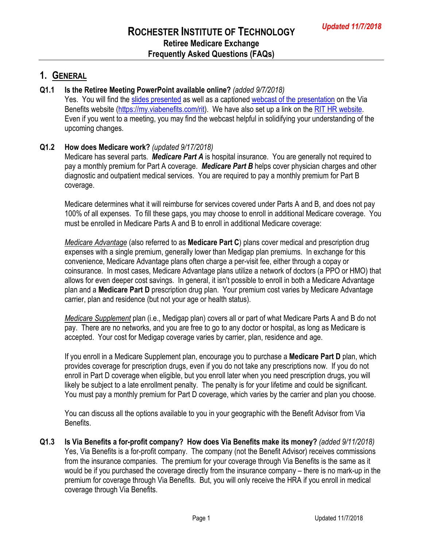## **1. GENERAL**

#### **Q1.1 Is the Retiree Meeting PowerPoint available online?** *(added 9/7/2018)*

Yes. You will find the [slides presented](https://documents.oneexchange.com/website/rit/RIT_ViaBenefits_Retiree_Meeting_Presentation_FINALV2.pdf) as well as a captioned [webcast of the presentation](https://www.youtube.com/watch?v=HZljkXo8dRQ&feature=youtu.be) on the Via Benefits website [\(https://my.viabenefits.com/rit\)](https://my.viabenefits.com/rit). We have also set up a link on the [RIT HR website.](https://www.rit.edu/fa/humanresources/content/retiree-healthcare) Even if you went to a meeting, you may find the webcast helpful in solidifying your understanding of the upcoming changes.

#### **Q1.2 How does Medicare work?** *(updated 9/17/2018)*

Medicare has several parts. *Medicare Part A* is hospital insurance. You are generally not required to pay a monthly premium for Part A coverage. *Medicare Part B* helps cover physician charges and other diagnostic and outpatient medical services. You are required to pay a monthly premium for Part B coverage.

Medicare determines what it will reimburse for services covered under Parts A and B, and does not pay 100% of all expenses. To fill these gaps, you may choose to enroll in additional Medicare coverage. You must be enrolled in Medicare Parts A and B to enroll in additional Medicare coverage:

*Medicare Advantage* (also referred to as **Medicare Part C**) plans cover medical and prescription drug expenses with a single premium, generally lower than Medigap plan premiums. In exchange for this convenience, Medicare Advantage plans often charge a per-visit fee, either through a copay or coinsurance. In most cases, Medicare Advantage plans utilize a network of doctors (a PPO or HMO) that allows for even deeper cost savings. In general, it isn't possible to enroll in both a Medicare Advantage plan and a **Medicare Part D** prescription drug plan. Your premium cost varies by Medicare Advantage carrier, plan and residence (but not your age or health status).

*Medicare Supplement* plan (i.e., Medigap plan) covers all or part of what Medicare Parts A and B do not pay. There are no networks, and you are free to go to any doctor or hospital, as long as Medicare is accepted. Your cost for Medigap coverage varies by carrier, plan, residence and age.

If you enroll in a Medicare Supplement plan, encourage you to purchase a **Medicare Part D** plan, which provides coverage for prescription drugs, even if you do not take any prescriptions now. If you do not enroll in Part D coverage when eligible, but you enroll later when you need prescription drugs, you will likely be subject to a late enrollment penalty. The penalty is for your lifetime and could be significant. You must pay a monthly premium for Part D coverage, which varies by the carrier and plan you choose.

You can discuss all the options available to you in your geographic with the Benefit Advisor from Via Benefits.

**Q1.3 Is Via Benefits a for-profit company? How does Via Benefits make its money?** *(added 9/11/2018)* Yes, Via Benefits is a for-profit company. The company (not the Benefit Advisor) receives commissions from the insurance companies. The premium for your coverage through Via Benefits is the same as it would be if you purchased the coverage directly from the insurance company – there is no mark-up in the premium for coverage through Via Benefits. But, you will only receive the HRA if you enroll in medical coverage through Via Benefits.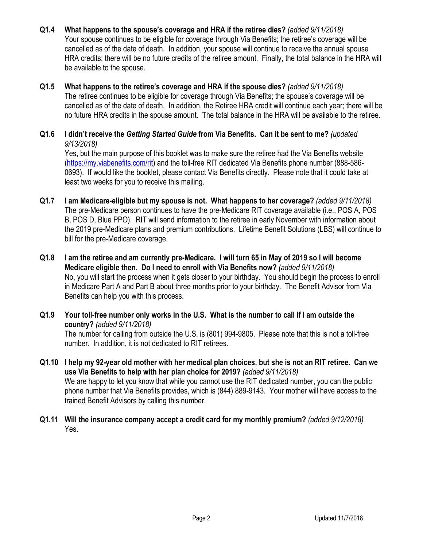- **Q1.4 What happens to the spouse's coverage and HRA if the retiree dies?** *(added 9/11/2018)* Your spouse continues to be eligible for coverage through Via Benefits; the retiree's coverage will be cancelled as of the date of death. In addition, your spouse will continue to receive the annual spouse HRA credits; there will be no future credits of the retiree amount. Finally, the total balance in the HRA will be available to the spouse.
- **Q1.5 What happens to the retiree's coverage and HRA if the spouse dies?** *(added 9/11/2018)* The retiree continues to be eligible for coverage through Via Benefits; the spouse's coverage will be cancelled as of the date of death. In addition, the Retiree HRA credit will continue each year; there will be no future HRA credits in the spouse amount. The total balance in the HRA will be available to the retiree.
- **Q1.6 I didn't receive the** *Getting Started Guide* **from Via Benefits. Can it be sent to me?** *(updated 9/13/2018)* Yes, but the main purpose of this booklet was to make sure the retiree had the Via Benefits website [\(https://my.viabenefits.com/rit\)](https://my.viabenefits.com/rit) and the toll-free RIT dedicated Via Benefits phone number (888-586- 0693). If would like the booklet, please contact Via Benefits directly. Please note that it could take at least two weeks for you to receive this mailing.
- **Q1.7 I am Medicare-eligible but my spouse is not. What happens to her coverage?** *(added 9/11/2018)* The pre-Medicare person continues to have the pre-Medicare RIT coverage available (i.e., POS A, POS B, POS D, Blue PPO). RIT will send information to the retiree in early November with information about the 2019 pre-Medicare plans and premium contributions. Lifetime Benefit Solutions (LBS) will continue to bill for the pre-Medicare coverage.
- **Q1.8 I am the retiree and am currently pre-Medicare. I will turn 65 in May of 2019 so I will become Medicare eligible then. Do I need to enroll with Via Benefits now?** *(added 9/11/2018)* No, you will start the process when it gets closer to your birthday. You should begin the process to enroll in Medicare Part A and Part B about three months prior to your birthday. The Benefit Advisor from Via Benefits can help you with this process.
- **Q1.9 Your toll-free number only works in the U.S. What is the number to call if I am outside the country?** *(added 9/11/2018)* The number for calling from outside the U.S. is (801) 994-9805. Please note that this is not a toll-free number. In addition, it is not dedicated to RIT retirees.
- **Q1.10 I help my 92-year old mother with her medical plan choices, but she is not an RIT retiree. Can we use Via Benefits to help with her plan choice for 2019?** *(added 9/11/2018)* We are happy to let you know that while you cannot use the RIT dedicated number, you can the public phone number that Via Benefits provides, which is (844) 889-9143. Your mother will have access to the trained Benefit Advisors by calling this number.
- **Q1.11 Will the insurance company accept a credit card for my monthly premium?** *(added 9/12/2018)* Yes.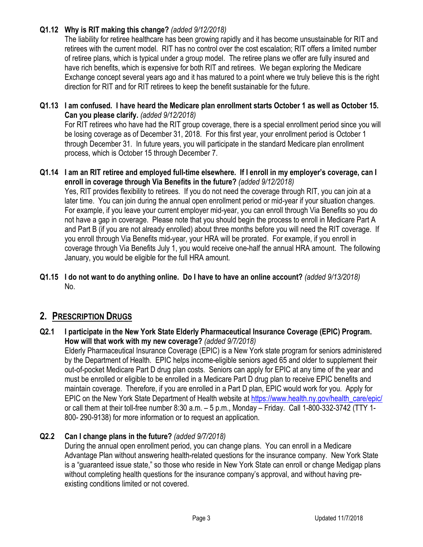### **Q1.12 Why is RIT making this change?** *(added 9/12/2018)*

The liability for retiree healthcare has been growing rapidly and it has become unsustainable for RIT and retirees with the current model. RIT has no control over the cost escalation; RIT offers a limited number of retiree plans, which is typical under a group model. The retiree plans we offer are fully insured and have rich benefits, which is expensive for both RIT and retirees. We began exploring the Medicare Exchange concept several years ago and it has matured to a point where we truly believe this is the right direction for RIT and for RIT retirees to keep the benefit sustainable for the future.

#### **Q1.13 I am confused. I have heard the Medicare plan enrollment starts October 1 as well as October 15. Can you please clarify.** *(added 9/12/2018)*

For RIT retirees who have had the RIT group coverage, there is a special enrollment period since you will be losing coverage as of December 31, 2018. For this first year, your enrollment period is October 1 through December 31. In future years, you will participate in the standard Medicare plan enrollment process, which is October 15 through December 7.

**Q1.14 I am an RIT retiree and employed full-time elsewhere. If I enroll in my employer's coverage, can I enroll in coverage through Via Benefits in the future?** *(added 9/12/2018)*

Yes, RIT provides flexibility to retirees. If you do not need the coverage through RIT, you can join at a later time. You can join during the annual open enrollment period or mid-year if your situation changes. For example, if you leave your current employer mid-year, you can enroll through Via Benefits so you do not have a gap in coverage. Please note that you should begin the process to enroll in Medicare Part A and Part B (if you are not already enrolled) about three months before you will need the RIT coverage. If you enroll through Via Benefits mid-year, your HRA will be prorated. For example, if you enroll in coverage through Via Benefits July 1, you would receive one-half the annual HRA amount. The following January, you would be eligible for the full HRA amount.

**Q1.15 I do not want to do anything online. Do I have to have an online account?** *(added 9/13/2018)* No.

## **2. PRESCRIPTION DRUGS**

**Q2.1 I participate in the New York State Elderly Pharmaceutical Insurance Coverage (EPIC) Program. How will that work with my new coverage?** *(added 9/7/2018)*

Elderly Pharmaceutical Insurance Coverage (EPIC) is a New York state program for seniors administered by the Department of Health. EPIC helps income-eligible seniors aged 65 and older to supplement their out-of-pocket Medicare Part D drug plan costs. Seniors can apply for EPIC at any time of the year and must be enrolled or eligible to be enrolled in a Medicare Part D drug plan to receive EPIC benefits and maintain coverage. Therefore, if you are enrolled in a Part D plan, EPIC would work for you. Apply for EPIC on the New York State Department of Health website at [https://www.health.ny.gov/health\\_care/epic/](https://www.health.ny.gov/health_care/epic/) or call them at their toll-free number 8:30 a.m. – 5 p.m., Monday – Friday. Call 1-800-332-3742 (TTY 1- 800- 290-9138) for more information or to request an application.

### **Q2.2 Can I change plans in the future?** *(added 9/7/2018)*

During the annual open enrollment period, you can change plans. You can enroll in a Medicare Advantage Plan without answering health-related questions for the insurance company. New York State is a "guaranteed issue state," so those who reside in New York State can enroll or change Medigap plans without completing health questions for the insurance company's approval, and without having preexisting conditions limited or not covered.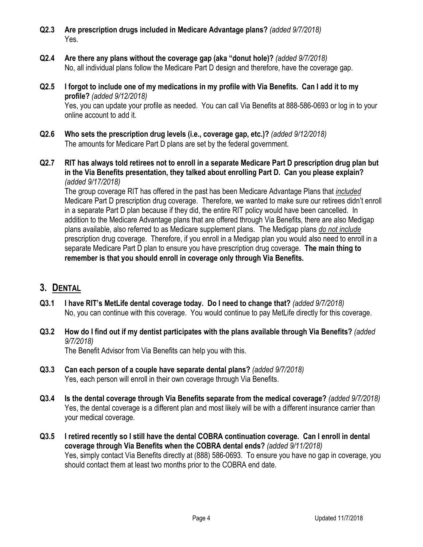- **Q2.3 Are prescription drugs included in Medicare Advantage plans?** *(added 9/7/2018)* Yes.
- **Q2.4 Are there any plans without the coverage gap (aka "donut hole)?** *(added 9/7/2018)* No, all individual plans follow the Medicare Part D design and therefore, have the coverage gap.
- **Q2.5 I forgot to include one of my medications in my profile with Via Benefits. Can I add it to my profile?** *(added 9/12/2018)* Yes, you can update your profile as needed. You can call Via Benefits at 888-586-0693 or log in to your online account to add it.
- **Q2.6 Who sets the prescription drug levels (i.e., coverage gap, etc.)?** *(added 9/12/2018)* The amounts for Medicare Part D plans are set by the federal government.
- **Q2.7 RIT has always told retirees not to enroll in a separate Medicare Part D prescription drug plan but in the Via Benefits presentation, they talked about enrolling Part D. Can you please explain?**  *(added 9/17/2018)*

The group coverage RIT has offered in the past has been Medicare Advantage Plans that *included* Medicare Part D prescription drug coverage. Therefore, we wanted to make sure our retirees didn't enroll in a separate Part D plan because if they did, the entire RIT policy would have been cancelled. In addition to the Medicare Advantage plans that are offered through Via Benefits, there are also Medigap plans available, also referred to as Medicare supplement plans. The Medigap plans *do not include* prescription drug coverage. Therefore, if you enroll in a Medigap plan you would also need to enroll in a separate Medicare Part D plan to ensure you have prescription drug coverage. **The main thing to remember is that you should enroll in coverage only through Via Benefits.**

## **3. DENTAL**

- **Q3.1 I have RIT's MetLife dental coverage today. Do I need to change that?** *(added 9/7/2018)* No, you can continue with this coverage. You would continue to pay MetLife directly for this coverage.
- **Q3.2 How do I find out if my dentist participates with the plans available through Via Benefits?** *(added 9/7/2018)*

The Benefit Advisor from Via Benefits can help you with this.

- **Q3.3 Can each person of a couple have separate dental plans?** *(added 9/7/2018)* Yes, each person will enroll in their own coverage through Via Benefits.
- **Q3.4 Is the dental coverage through Via Benefits separate from the medical coverage?** *(added 9/7/2018)* Yes, the dental coverage is a different plan and most likely will be with a different insurance carrier than your medical coverage.
- **Q3.5 I retired recently so I still have the dental COBRA continuation coverage. Can I enroll in dental coverage through Via Benefits when the COBRA dental ends?** *(added 9/11/2018)* Yes, simply contact Via Benefits directly at (888) 586-0693. To ensure you have no gap in coverage, you should contact them at least two months prior to the COBRA end date.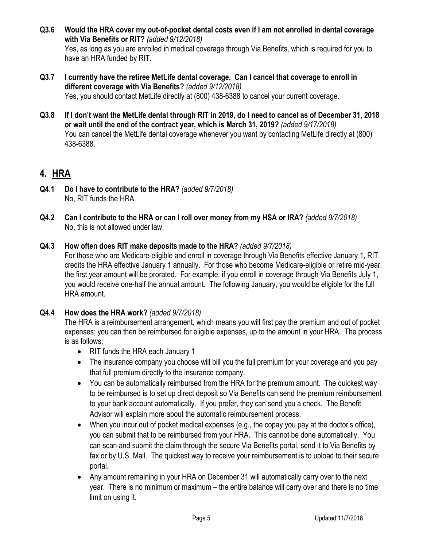- **Q3.6 Would the HRA cover my out-of-pocket dental costs even if I am not enrolled in dental coverage with Via Benefits or RIT?** *(added 9/12/2018)* Yes, as long as you are enrolled in medical coverage through Via Benefits, which is required for you to have an HRA funded by RIT.
- **Q3.7 I currently have the retiree MetLife dental coverage. Can I cancel that coverage to enroll in different coverage with Via Benefits?** *(added 9/12/2018)* Yes, you should contact MetLife directly at (800) 438-6388 to cancel your current coverage.
- **Q3.8 If I don't want the MetLife dental through RIT in 2019, do I need to cancel as of December 31, 2018 or wait until the end of the contract year, which is March 31, 2019?** *(added 9/17/2018)* You can cancel the MetLife dental coverage whenever you want by contacting MetLife directly at (800) 438-6388.

# **4. HRA**

- **Q4.1 Do I have to contribute to the HRA?** *(added 9/7/2018)* No, RIT funds the HRA.
- **Q4.2 Can I contribute to the HRA or can I roll over money from my HSA or IRA?** *(added 9/7/2018)* No, this is not allowed under law.

#### **Q4.3 How often does RIT make deposits made to the HRA?** *(added 9/7/2018)*

For those who are Medicare-eligible and enroll in coverage through Via Benefits effective January 1, RIT credits the HRA effective January 1 annually. For those who become Medicare-eligible or retire mid-year, the first year amount will be prorated. For example, if you enroll in coverage through Via Benefits July 1, you would receive one-half the annual amount. The following January, you would be eligible for the full HRA amount.

#### **Q4.4 How does the HRA work?** *(added 9/7/2018)*

The HRA is a reimbursement arrangement, which means you will first pay the premium and out of pocket expenses; you can then be reimbursed for eligible expenses, up to the amount in your HRA. The process is as follows:

- RIT funds the HRA each January 1
- The insurance company you choose will bill you the full premium for your coverage and you pay that full premium directly to the insurance company.
- You can be automatically reimbursed from the HRA for the premium amount. The quickest way to be reimbursed is to set up direct deposit so Via Benefits can send the premium reimbursement to your bank account automatically. If you prefer, they can send you a check. The Benefit Advisor will explain more about the automatic reimbursement process.
- When you incur out of pocket medical expenses (e.g., the copay you pay at the doctor's office), you can submit that to be reimbursed from your HRA. This cannot be done automatically. You can scan and submit the claim through the secure Via Benefits portal, send it to Via Benefits by fax or by U.S. Mail. The quickest way to receive your reimbursement is to upload to their secure portal.
- Any amount remaining in your HRA on December 31 will automatically carry over to the next year. There is no minimum or maximum – the entire balance will carry over and there is no time limit on using it.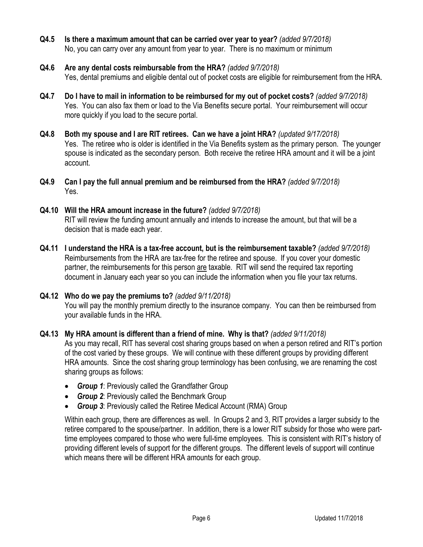- **Q4.5 Is there a maximum amount that can be carried over year to year?** *(added 9/7/2018)* No, you can carry over any amount from year to year. There is no maximum or minimum
- **Q4.6 Are any dental costs reimbursable from the HRA?** *(added 9/7/2018)* Yes, dental premiums and eligible dental out of pocket costs are eligible for reimbursement from the HRA.
- **Q4.7 Do I have to mail in information to be reimbursed for my out of pocket costs?** *(added 9/7/2018)* Yes. You can also fax them or load to the Via Benefits secure portal. Your reimbursement will occur more quickly if you load to the secure portal.
- **Q4.8 Both my spouse and I are RIT retirees. Can we have a joint HRA?** *(updated 9/17/2018)* Yes. The retiree who is older is identified in the Via Benefits system as the primary person. The younger spouse is indicated as the secondary person. Both receive the retiree HRA amount and it will be a joint account.
- **Q4.9 Can I pay the full annual premium and be reimbursed from the HRA?** *(added 9/7/2018)* Yes.
- **Q4.10 Will the HRA amount increase in the future?** *(added 9/7/2018)* RIT will review the funding amount annually and intends to increase the amount, but that will be a decision that is made each year.
- **Q4.11 I understand the HRA is a tax-free account, but is the reimbursement taxable?** *(added 9/7/2018)* Reimbursements from the HRA are tax-free for the retiree and spouse. If you cover your domestic partner, the reimbursements for this person are taxable. RIT will send the required tax reporting document in January each year so you can include the information when you file your tax returns.
- **Q4.12 Who do we pay the premiums to?** *(added 9/11/2018)* You will pay the monthly premium directly to the insurance company. You can then be reimbursed from your available funds in the HRA.
- **Q4.13 My HRA amount is different than a friend of mine. Why is that?** *(added 9/11/2018)* As you may recall, RIT has several cost sharing groups based on when a person retired and RIT's portion of the cost varied by these groups. We will continue with these different groups by providing different HRA amounts. Since the cost sharing group terminology has been confusing, we are renaming the cost sharing groups as follows:
	- *Group 1*: Previously called the Grandfather Group
	- *Group 2*: Previously called the Benchmark Group
	- *Group 3*: Previously called the Retiree Medical Account (RMA) Group

Within each group, there are differences as well. In Groups 2 and 3, RIT provides a larger subsidy to the retiree compared to the spouse/partner. In addition, there is a lower RIT subsidy for those who were parttime employees compared to those who were full-time employees. This is consistent with RIT's history of providing different levels of support for the different groups. The different levels of support will continue which means there will be different HRA amounts for each group.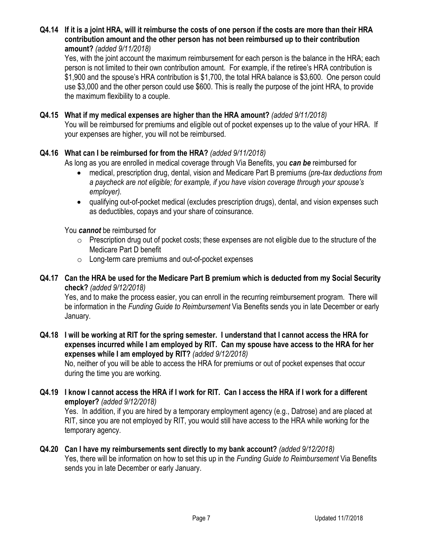#### **Q4.14 If it is a joint HRA, will it reimburse the costs of one person if the costs are more than their HRA contribution amount and the other person has not been reimbursed up to their contribution amount?** *(added 9/11/2018)*

Yes, with the joint account the maximum reimbursement for each person is the balance in the HRA; each person is not limited to their own contribution amount. For example, if the retiree's HRA contribution is \$1,900 and the spouse's HRA contribution is \$1,700, the total HRA balance is \$3,600. One person could use \$3,000 and the other person could use \$600. This is really the purpose of the joint HRA, to provide the maximum flexibility to a couple.

#### **Q4.15 What if my medical expenses are higher than the HRA amount?** *(added 9/11/2018)*

You will be reimbursed for premiums and eligible out of pocket expenses up to the value of your HRA. If your expenses are higher, you will not be reimbursed.

#### **Q4.16 What can I be reimbursed for from the HRA?** *(added 9/11/2018)*

As long as you are enrolled in medical coverage through Via Benefits, you *can be* reimbursed for

- medical, prescription drug, dental, vision and Medicare Part B premiums *(pre-tax deductions from a paycheck are not eligible; for example, if you have vision coverage through your spouse's employer).*
- qualifying out-of-pocket medical (excludes prescription drugs), dental, and vision expenses such as deductibles, copays and your share of coinsurance.

You *cannot* be reimbursed for

- o Prescription drug out of pocket costs; these expenses are not eligible due to the structure of the Medicare Part D benefit
- o Long-term care premiums and out-of-pocket expenses

#### **Q4.17 Can the HRA be used for the Medicare Part B premium which is deducted from my Social Security check?** *(added 9/12/2018)*

Yes, and to make the process easier, you can enroll in the recurring reimbursement program. There will be information in the *Funding Guide to Reimbursement* Via Benefits sends you in late December or early January.

**Q4.18 I will be working at RIT for the spring semester. I understand that I cannot access the HRA for expenses incurred while I am employed by RIT. Can my spouse have access to the HRA for her expenses while I am employed by RIT?** *(added 9/12/2018)*

No, neither of you will be able to access the HRA for premiums or out of pocket expenses that occur during the time you are working.

#### **Q4.19 I know I cannot access the HRA if I work for RIT. Can I access the HRA if I work for a different employer?** *(added 9/12/2018)*

Yes. In addition, if you are hired by a temporary employment agency (e.g., Datrose) and are placed at RIT, since you are not employed by RIT, you would still have access to the HRA while working for the temporary agency.

#### **Q4.20 Can I have my reimbursements sent directly to my bank account?** *(added 9/12/2018)* Yes, there will be information on how to set this up in the *Funding Guide to Reimbursement* Via Benefits sends you in late December or early January.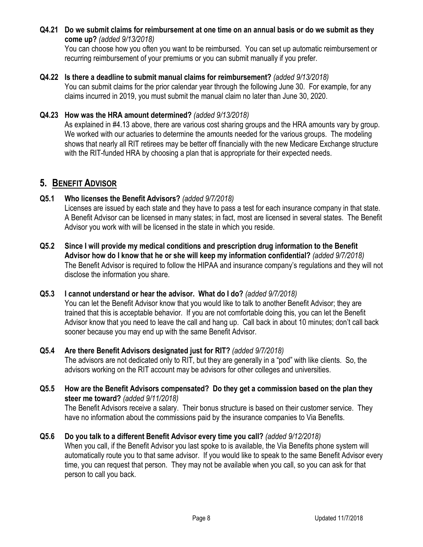#### **Q4.21 Do we submit claims for reimbursement at one time on an annual basis or do we submit as they come up?** *(added 9/13/2018)*

You can choose how you often you want to be reimbursed. You can set up automatic reimbursement or recurring reimbursement of your premiums or you can submit manually if you prefer.

#### **Q4.22 Is there a deadline to submit manual claims for reimbursement?** *(added 9/13/2018)*

You can submit claims for the prior calendar year through the following June 30. For example, for any claims incurred in 2019, you must submit the manual claim no later than June 30, 2020.

#### **Q4.23 How was the HRA amount determined?** *(added 9/13/2018)*

As explained in #4.13 above, there are various cost sharing groups and the HRA amounts vary by group. We worked with our actuaries to determine the amounts needed for the various groups. The modeling shows that nearly all RIT retirees may be better off financially with the new Medicare Exchange structure with the RIT-funded HRA by choosing a plan that is appropriate for their expected needs.

### **5. BENEFIT ADVISOR**

#### **Q5.1 Who licenses the Benefit Advisors?** *(added 9/7/2018)*

Licenses are issued by each state and they have to pass a test for each insurance company in that state. A Benefit Advisor can be licensed in many states; in fact, most are licensed in several states. The Benefit Advisor you work with will be licensed in the state in which you reside.

**Q5.2 Since I will provide my medical conditions and prescription drug information to the Benefit Advisor how do I know that he or she will keep my information confidential?** *(added 9/7/2018)* The Benefit Advisor is required to follow the HIPAA and insurance company's regulations and they will not disclose the information you share.

#### **Q5.3 I cannot understand or hear the advisor. What do I do?** *(added 9/7/2018)* You can let the Benefit Advisor know that you would like to talk to another Benefit Advisor; they are trained that this is acceptable behavior. If you are not comfortable doing this, you can let the Benefit Advisor know that you need to leave the call and hang up. Call back in about 10 minutes; don't call back

## **Q5.4 Are there Benefit Advisors designated just for RIT?** *(added 9/7/2018)*

sooner because you may end up with the same Benefit Advisor.

The advisors are not dedicated only to RIT, but they are generally in a "pod" with like clients. So, the advisors working on the RIT account may be advisors for other colleges and universities.

**Q5.5 How are the Benefit Advisors compensated? Do they get a commission based on the plan they steer me toward?** *(added 9/11/2018)* The Benefit Advisors receive a salary. Their bonus structure is based on their customer service. They

have no information about the commissions paid by the insurance companies to Via Benefits.

#### **Q5.6 Do you talk to a different Benefit Advisor every time you call?** *(added 9/12/2018)*

When you call, if the Benefit Advisor you last spoke to is available, the Via Benefits phone system will automatically route you to that same advisor. If you would like to speak to the same Benefit Advisor every time, you can request that person. They may not be available when you call, so you can ask for that person to call you back.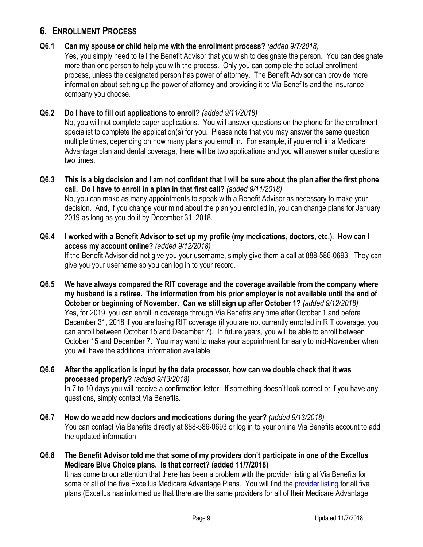## **6. ENROLLMENT PROCESS**

#### **Q6.1 Can my spouse or child help me with the enrollment process?** *(added 9/7/2018)* Yes, you simply need to tell the Benefit Advisor that you wish to designate the person. You can designate more than one person to help you with the process. Only you can complete the actual enrollment process, unless the designated person has power of attorney. The Benefit Advisor can provide more information about setting up the power of attorney and providing it to Via Benefits and the insurance company you choose.

#### **Q6.2 Do I have to fill out applications to enroll?** *(added 9/11/2018)*

No, you will not complete paper applications. You will answer questions on the phone for the enrollment specialist to complete the application(s) for you. Please note that you may answer the same question multiple times, depending on how many plans you enroll in. For example, if you enroll in a Medicare Advantage plan and dental coverage, there will be two applications and you will answer similar questions two times.

- **Q6.3 This is a big decision and I am not confident that I will be sure about the plan after the first phone call. Do I have to enroll in a plan in that first call?** *(added 9/11/2018)* No, you can make as many appointments to speak with a Benefit Advisor as necessary to make your decision. And, if you change your mind about the plan you enrolled in, you can change plans for January 2019 as long as you do it by December 31, 2018.
- **Q6.4 I worked with a Benefit Advisor to set up my profile (my medications, doctors, etc.). How can I access my account online?** *(added 9/12/2018)* If the Benefit Advisor did not give you your username, simply give them a call at 888-586-0693. They can give you your username so you can log in to your record.
- **Q6.5 We have always compared the RIT coverage and the coverage available from the company where my husband is a retiree. The information from his prior employer is not available until the end of October or beginning of November. Can we still sign up after October 1?** *(added 9/12/2018)* Yes, for 2019, you can enroll in coverage through Via Benefits any time after October 1 and before December 31, 2018 if you are losing RIT coverage (if you are not currently enrolled in RIT coverage, you can enroll between October 15 and December 7). In future years, you will be able to enroll between October 15 and December 7. You may want to make your appointment for early to mid-November when you will have the additional information available.
- **Q6.6 After the application is input by the data processor, how can we double check that it was processed properly?** *(added 9/13/2018)* In 7 to 10 days you will receive a confirmation letter. If something doesn't look correct or if you have any questions, simply contact Via Benefits.
- **Q6.7 How do we add new doctors and medications during the year?** *(added 9/13/2018)* You can contact Via Benefits directly at 888-586-0693 or log in to your online Via Benefits account to add the updated information.
- **Q6.8 The Benefit Advisor told me that some of my providers don't participate in one of the Excellus Medicare Blue Choice plans. Is that correct? (added 11/7/2018)** It has come to our attention that there has been a problem with the provider listing at Via Benefits for some or all of the five Excellus Medicare Advantage Plans. You will find th[e provider listing](https://www.excellusbcbs.com/wps/wcm/connect/63154ae1-5d50-4976-ba6b-bffaf80fb74c/FINAL+FOR+WEB+10-2019+IPA-628+RochHMO5bkProvPharmDirectory.pdf?MOD=AJPERES&CACHEID=63154ae1-5d50-4976-ba6b-bffaf80fb74c) for all five plans (Excellus has informed us that there are the same providers for all of their Medicare Advantage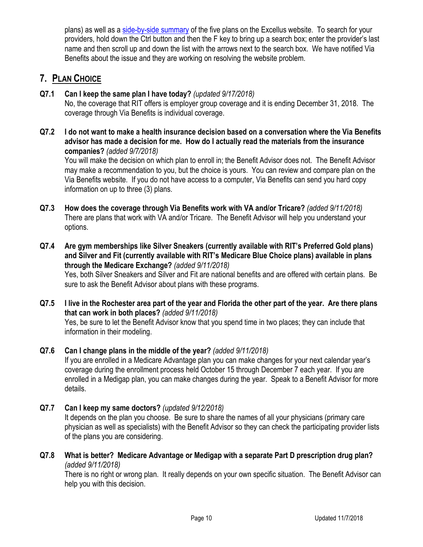plans) as well as a [side-by-side summary](https://www.excellusbcbs.com/wps/wcm/connect/39f2ed3d-e56f-4a05-b000-14a8eb1429ac/%28NP%29B5159Y19_Medicare+Member+Product+Brochure+2019+%28ROCHESTER%29_12503.pdf?MOD=AJPERES&CACHEID=39f2ed3d-e56f-4a05-b000-14a8eb1429ac) of the five plans on the Excellus website. To search for your providers, hold down the Ctrl button and then the F key to bring up a search box; enter the provider's last name and then scroll up and down the list with the arrows next to the search box. We have notified Via Benefits about the issue and they are working on resolving the website problem.

## **7. PLAN CHOICE**

### **Q7.1 Can I keep the same plan I have today?** *(updated 9/17/2018)*

No, the coverage that RIT offers is employer group coverage and it is ending December 31, 2018. The coverage through Via Benefits is individual coverage.

**Q7.2 I do not want to make a health insurance decision based on a conversation where the Via Benefits advisor has made a decision for me. How do I actually read the materials from the insurance companies?** *(added 9/7/2018)*

You will make the decision on which plan to enroll in; the Benefit Advisor does not. The Benefit Advisor may make a recommendation to you, but the choice is yours. You can review and compare plan on the Via Benefits website. If you do not have access to a computer, Via Benefits can send you hard copy information on up to three (3) plans.

- **Q7.3 How does the coverage through Via Benefits work with VA and/or Tricare?** *(added 9/11/2018)* There are plans that work with VA and/or Tricare. The Benefit Advisor will help you understand your options.
- **Q7.4 Are gym memberships like Silver Sneakers (currently available with RIT's Preferred Gold plans) and Silver and Fit (currently available with RIT's Medicare Blue Choice plans) available in plans through the Medicare Exchange?** *(added 9/11/2018)*

Yes, both Silver Sneakers and Silver and Fit are national benefits and are offered with certain plans. Be sure to ask the Benefit Advisor about plans with these programs.

**Q7.5 I live in the Rochester area part of the year and Florida the other part of the year. Are there plans that can work in both places?** *(added 9/11/2018)* Yes, be sure to let the Benefit Advisor know that you spend time in two places; they can include that information in their modeling.

### **Q7.6 Can I change plans in the middle of the year?** *(added 9/11/2018)*

If you are enrolled in a Medicare Advantage plan you can make changes for your next calendar year's coverage during the enrollment process held October 15 through December 7 each year. If you are enrolled in a Medigap plan, you can make changes during the year. Speak to a Benefit Advisor for more details.

- **Q7.7 Can I keep my same doctors?** *(updated 9/12/2018)* It depends on the plan you choose. Be sure to share the names of all your physicians (primary care physician as well as specialists) with the Benefit Advisor so they can check the participating provider lists of the plans you are considering.
- **Q7.8 What is better? Medicare Advantage or Medigap with a separate Part D prescription drug plan?**  *(added 9/11/2018)*

There is no right or wrong plan. It really depends on your own specific situation. The Benefit Advisor can help you with this decision.